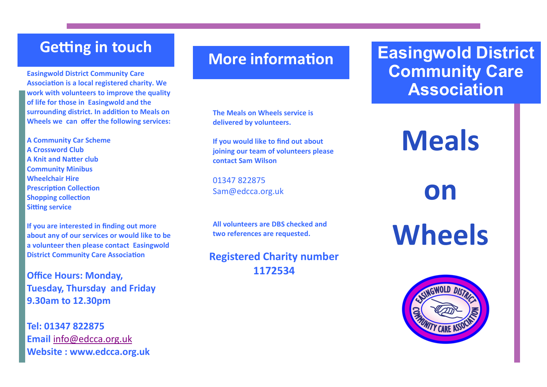### **Getting in touch**

**Easingwold District Community Care Association is a local registered charity. We work with volunteers to improve the quality of life for those in Easingwold and the surrounding district. In addition to Meals on Wheels we can offer the following services:** 

**A Community Car Scheme A Crossword Club A Knit and Natter club Community Minibus Wheelchair Hire Prescription Collection Shopping collection Sitting service**

**If you are interested in finding out more about any of our services or would like to be a volunteer then please contact Easingwold District Community Care Association**

**Office Hours: Monday, Tuesday, Thursday and Friday 9.30am to 12.30pm**

**Tel: 01347 822875 Email** [info@edcca.org.uk](mailto:info@edcca.org.uk) **Website : www.edcca.org.uk**

## **More information**

**The Meals on Wheels service is delivered by volunteers.** 

**If you would like to find out about joining our team of volunteers please contact Sam Wilson**

01347 822875 Sam@edcca.org.uk

**All volunteers are DBS checked and two references are requested.**

**Registered Charity number 1172534**

# **Easingwold District Community Care Association**

**Meals** 

**on** 

**Wheels**